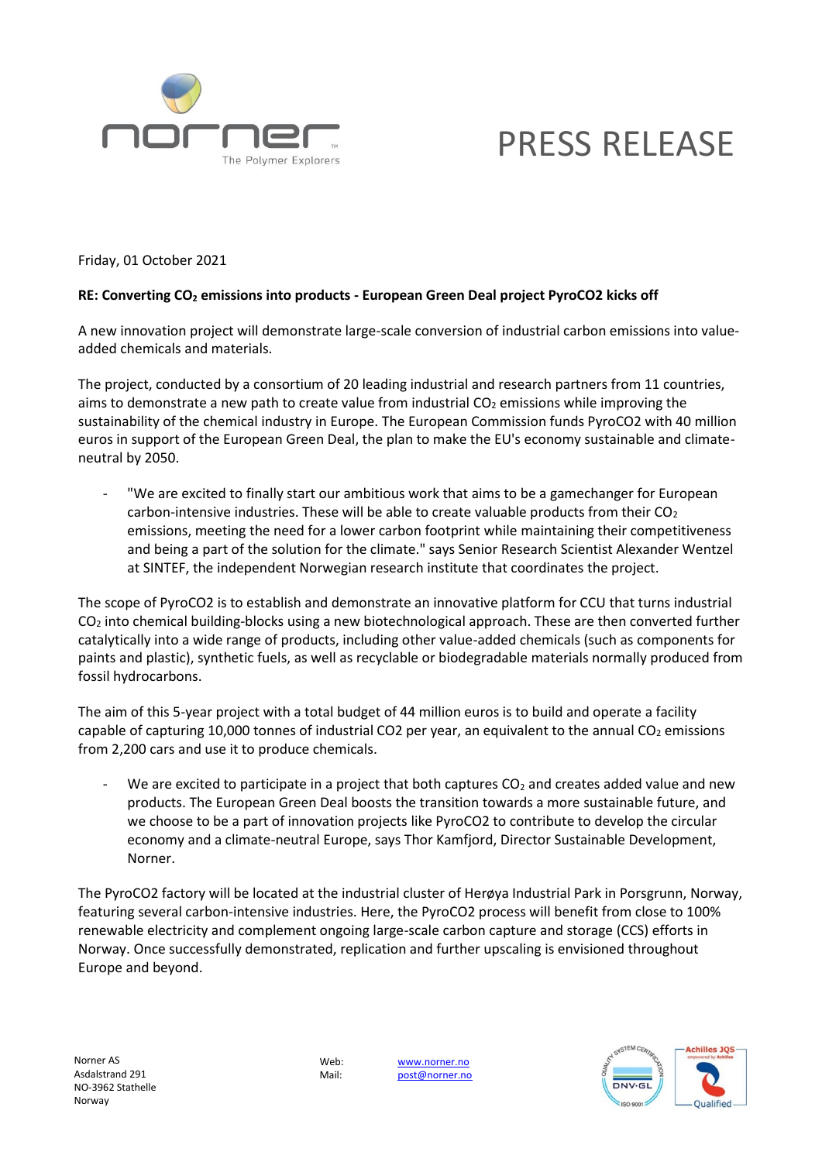

# PRESS RELEASE

Friday, 01 October 2021

### **RE: Converting CO<sup>2</sup> emissions into products - European Green Deal project PyroCO2 kicks off**

A new innovation project will demonstrate large-scale conversion of industrial carbon emissions into valueadded chemicals and materials.

The project, conducted by a consortium of 20 leading industrial and research partners from 11 countries, aims to demonstrate a new path to create value from industrial  $CO<sub>2</sub>$  emissions while improving the sustainability of the chemical industry in Europe. The European Commission funds PyroCO2 with 40 million euros in support of the European Green Deal, the plan to make the EU's economy sustainable and climateneutral by 2050.

"We are excited to finally start our ambitious work that aims to be a gamechanger for European carbon-intensive industries. These will be able to create valuable products from their  $CO<sub>2</sub>$ emissions, meeting the need for a lower carbon footprint while maintaining their competitiveness and being a part of the solution for the climate." says Senior Research Scientist Alexander Wentzel at SINTEF, the independent Norwegian research institute that coordinates the project.

The scope of PyroCO2 is to establish and demonstrate an innovative platform for CCU that turns industrial  $CO<sub>2</sub>$  into chemical building-blocks using a new biotechnological approach. These are then converted further catalytically into a wide range of products, including other value-added chemicals (such as components for paints and plastic), synthetic fuels, as well as recyclable or biodegradable materials normally produced from fossil hydrocarbons.

The aim of this 5-year project with a total budget of 44 million euros is to build and operate a facility capable of capturing 10,000 tonnes of industrial CO2 per year, an equivalent to the annual CO<sub>2</sub> emissions from 2,200 cars and use it to produce chemicals.

- We are excited to participate in a project that both captures  $CO<sub>2</sub>$  and creates added value and new products. The European Green Deal boosts the transition towards a more sustainable future, and we choose to be a part of innovation projects like PyroCO2 to contribute to develop the circular economy and a climate-neutral Europe, says Thor Kamfjord, Director Sustainable Development, Norner.

The PyroCO2 factory will be located at the industrial cluster of Herøya Industrial Park in Porsgrunn, Norway, featuring several carbon-intensive industries. Here, the PyroCO2 process will benefit from close to 100% renewable electricity and complement ongoing large-scale carbon capture and storage (CCS) efforts in Norway. Once successfully demonstrated, replication and further upscaling is envisioned throughout Europe and beyond.

Web: [www.norner.no](http://www.norner.no/) Mail: [post@norner.no](mailto:post@norner.no)

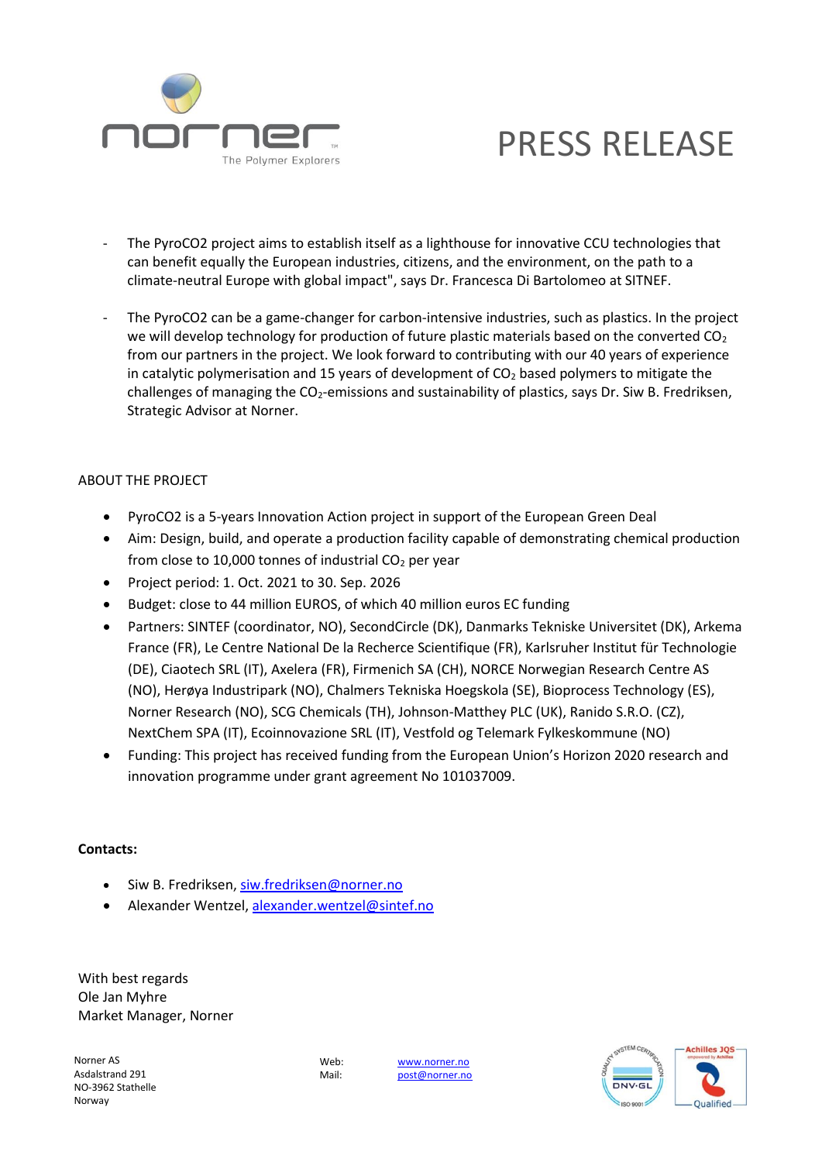

## PRESS RELEASE

- The PyroCO2 project aims to establish itself as a lighthouse for innovative CCU technologies that can benefit equally the European industries, citizens, and the environment, on the path to a climate-neutral Europe with global impact", says Dr. Francesca Di Bartolomeo at SITNEF.
- The PyroCO2 can be a game-changer for carbon-intensive industries, such as plastics. In the project we will develop technology for production of future plastic materials based on the converted  $CO<sub>2</sub>$ from our partners in the project. We look forward to contributing with our 40 years of experience in catalytic polymerisation and 15 years of development of  $CO<sub>2</sub>$  based polymers to mitigate the challenges of managing the CO<sub>2</sub>-emissions and sustainability of plastics, says Dr. Siw B. Fredriksen, Strategic Advisor at Norner.

### ABOUT THE PROJECT

- PyroCO2 is a 5-years Innovation Action project in support of the European Green Deal
- Aim: Design, build, and operate a production facility capable of demonstrating chemical production from close to 10,000 tonnes of industrial  $CO<sub>2</sub>$  per year
- Project period: 1. Oct. 2021 to 30. Sep. 2026
- Budget: close to 44 million EUROS, of which 40 million euros EC funding
- Partners: SINTEF (coordinator, NO), SecondCircle (DK), Danmarks Tekniske Universitet (DK), Arkema France (FR), Le Centre National De la Recherce Scientifique (FR), Karlsruher Institut für Technologie (DE), Ciaotech SRL (IT), Axelera (FR), Firmenich SA (CH), NORCE Norwegian Research Centre AS (NO), Herøya Industripark (NO), Chalmers Tekniska Hoegskola (SE), Bioprocess Technology (ES), Norner Research (NO), SCG Chemicals (TH), Johnson-Matthey PLC (UK), Ranido S.R.O. (CZ), NextChem SPA (IT), Ecoinnovazione SRL (IT), Vestfold og Telemark Fylkeskommune (NO)
- Funding: This project has received funding from the European Union's Horizon 2020 research and innovation programme under grant agreement No 101037009.

#### **Contacts:**

- Siw B. Fredriksen, [siw.fredriksen@norner.no](mailto:siw.fredriksen@norner.no)
- Alexander Wentzel[, alexander.wentzel@sintef.no](mailto:alexander.wentzel@sintef.no)

With best regards Ole Jan Myhre Market Manager, Norner

Norner AS Asdalstrand 291 NO-3962 Stathelle Norway